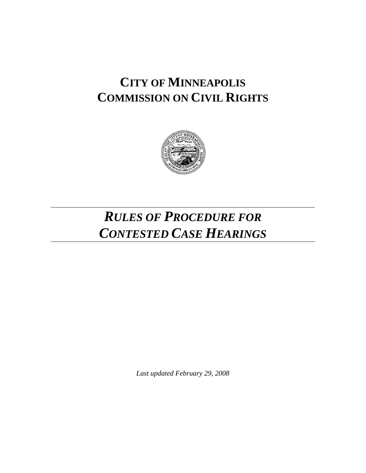## **CITY OF MINNEAPOLIS COMMISSION ON CIVIL RIGHTS**



# *RULES OF PROCEDURE FOR CONTESTED CASE HEARINGS*

*Last updated February 29, 2008*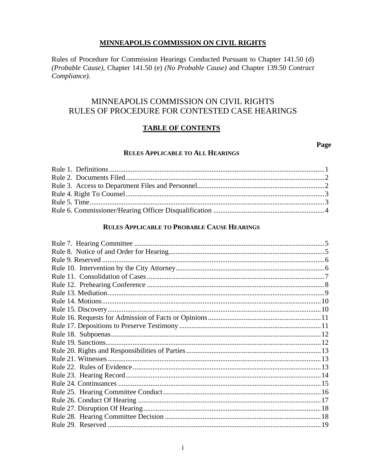#### MINNEAPOLIS COMMISSION ON CIVIL RIGHTS

Rules of Procedure for Commission Hearings Conducted Pursuant to Chapter 141.50 (d) (Probable Cause), Chapter 141.50 (e) (No Probable Cause) and Chapter 139.50 Contract Compliance).

## MINNEAPOLIS COMMISSION ON CIVIL RIGHTS RULES OF PROCEDURE FOR CONTESTED CASE HEARINGS

#### **TABLE OF CONTENTS**

## Page

#### **RULES APPLICABLE TO ALL HEARINGS**

#### RULES APPLICABLE TO PROBABLE CAUSE HEARINGS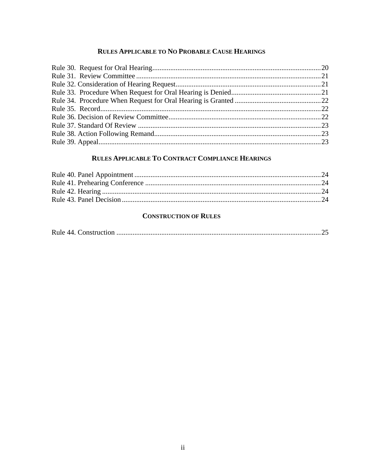## RULES APPLICABLE TO NO PROBABLE CAUSE HEARINGS

## RULES APPLICABLE TO CONTRACT COMPLIANCE HEARINGS

## **CONSTRUCTION OF RULES**

|--|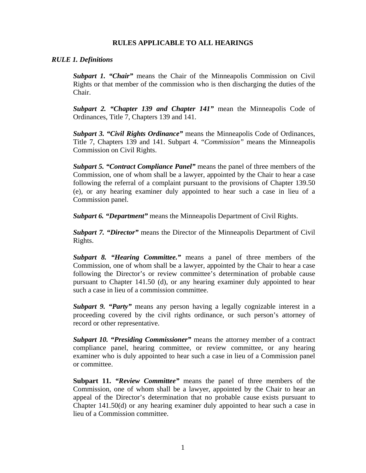#### **RULES APPLICABLE TO ALL HEARINGS**

#### *RULE 1. Definitions*

*Subpart 1. "Chair"* means the Chair of the Minneapolis Commission on Civil Rights or that member of the commission who is then discharging the duties of the Chair.

*Subpart 2. "Chapter 139 and Chapter 141"* mean the Minneapolis Code of Ordinances, Title 7, Chapters 139 and 141.

*Subpart 3. "Civil Rights Ordinance"* means the Minneapolis Code of Ordinances, Title 7, Chapters 139 and 141. Subpart 4. "*Commission"* means the Minneapolis Commission on Civil Rights.

*Subpart 5. "Contract Compliance Panel"* means the panel of three members of the Commission, one of whom shall be a lawyer, appointed by the Chair to hear a case following the referral of a complaint pursuant to the provisions of Chapter 139.50 (e), or any hearing examiner duly appointed to hear such a case in lieu of a Commission panel.

*Subpart 6. "Department"* means the Minneapolis Department of Civil Rights.

*Subpart 7. "Director"* means the Director of the Minneapolis Department of Civil Rights.

*Subpart 8. "Hearing Committee."* means a panel of three members of the Commission, one of whom shall be a lawyer, appointed by the Chair to hear a case following the Director's or review committee's determination of probable cause pursuant to Chapter 141.50 (d), or any hearing examiner duly appointed to hear such a case in lieu of a commission committee.

*Subpart 9. "Party"* means any person having a legally cognizable interest in a proceeding covered by the civil rights ordinance, or such person's attorney of record or other representative.

*Subpart 10. "Presiding Commissioner"* means the attorney member of a contract compliance panel, hearing committee, or review committee, or any hearing examiner who is duly appointed to hear such a case in lieu of a Commission panel or committee.

**Subpart 11.** *"Review Committee"* means the panel of three members of the Commission, one of whom shall be a lawyer, appointed by the Chair to hear an appeal of the Director's determination that no probable cause exists pursuant to Chapter 141.50(d) or any hearing examiner duly appointed to hear such a case in lieu of a Commission committee.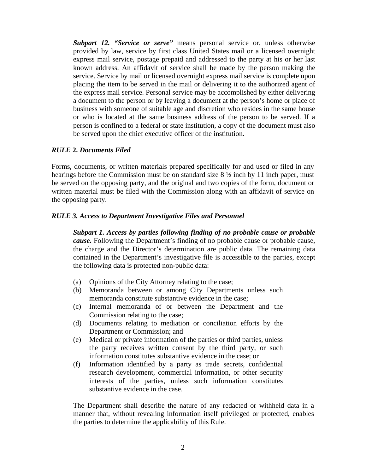*Subpart 12. "Service or serve"* means personal service or, unless otherwise provided by law, service by first class United States mail or a licensed overnight express mail service, postage prepaid and addressed to the party at his or her last known address. An affidavit of service shall be made by the person making the service. Service by mail or licensed overnight express mail service is complete upon placing the item to be served in the mail or delivering it to the authorized agent of the express mail service. Personal service may be accomplished by either delivering a document to the person or by leaving a document at the person's home or place of business with someone of suitable age and discretion who resides in the same house or who is located at the same business address of the person to be served. If a person is confined to a federal or state institution, a copy of the document must also be served upon the chief executive officer of the institution.

#### *RULE* **2.** *Documents Filed*

Forms, documents, or written materials prepared specifically for and used or filed in any hearings before the Commission must be on standard size 8 ½ inch by 11 inch paper, must be served on the opposing party, and the original and two copies of the form, document or written material must be filed with the Commission along with an affidavit of service on the opposing party.

#### *RULE 3. Access to Department Investigative Files and Personnel*

*Subpart 1. Access by parties following finding of no probable cause or probable cause*. Following the Department's finding of no probable cause or probable cause, the charge and the Director's determination are public data. The remaining data contained in the Department's investigative file is accessible to the parties, except the following data is protected non-public data:

- (a) Opinions of the City Attorney relating to the case;
- (b) Memoranda between or among City Departments unless such memoranda constitute substantive evidence in the case;
- (c) Internal memoranda of or between the Department and the Commission relating to the case;
- (d) Documents relating to mediation or conciliation efforts by the Department or Commission; and
- (e) Medical or private information of the parties or third parties, unless the party receives written consent by the third party, or such information constitutes substantive evidence in the case; or
- (f) Information identified by a party as trade secrets, confidential research development, commercial information, or other security interests of the parties, unless such information constitutes substantive evidence in the case.

The Department shall describe the nature of any redacted or withheld data in a manner that, without revealing information itself privileged or protected, enables the parties to determine the applicability of this Rule.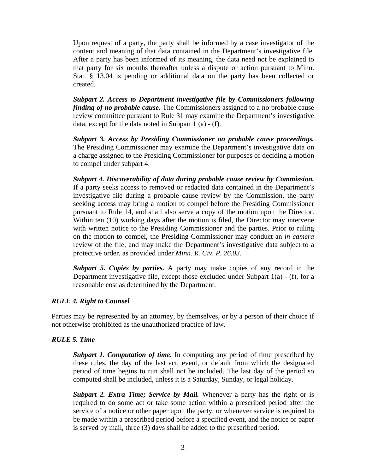Upon request of a party, the party shall be informed by a case investigator of the content and meaning of that data contained in the Department's investigative file. After a party has been informed of its meaning, the data need not be explained to that party for six months thereafter unless a dispute or action pursuant to Minn. Stat. § 13.04 is pending or additional data on the party has been collected or created.

*Subpart 2. Access to Department investigative file by Commissioners following finding of no probable cause.* The Commissioners assigned to a no probable cause review committee pursuant to Rule 31 may examine the Department's investigative data, except for the data noted in Subpart 1 (a) - (f).

*Subpart 3. Access by Presiding Commissioner on probable cause proceedings.* The Presiding Commissioner may examine the Department's investigative data on a charge assigned to the Presiding Commissioner for purposes of deciding a motion to compel under subpart 4.

*Subpart 4. Discoverability of data during probable cause review by Commission.* If a party seeks access to removed or redacted data contained in the Department's investigative file during a probable cause review by the Commission, the party seeking access may bring a motion to compel before the Presiding Commissioner pursuant to Rule 14, and shall also serve a copy of the motion upon the Director. Within ten (10) working days after the motion is filed, the Director may intervene with written notice to the Presiding Commissioner and the parties. Prior to ruling on the motion to compel, the Presiding Commissioner may conduct an *in camera*  review of the file, and may make the Department's investigative data subject to a protective order, as provided under *Minn. R. Civ. P. 26.03*.

*Subpart 5. Copies by parties.* A party may make copies of any record in the Department investigative file, except those excluded under Subpart 1(a) - (f), for a reasonable cost as determined by the Department.

#### *RULE 4. Right to Counsel*

Parties may be represented by an attorney, by themselves, or by a person of their choice if not otherwise prohibited as the unauthorized practice of law.

#### *RULE 5. Time*

*Subpart 1. Computation of time.* In computing any period of time prescribed by these rules, the day of the last act, event, or default from which the designated period of time begins to run shall not be included. The last day of the period so computed shall be included, unless it is a Saturday, Sunday, or legal holiday.

*Subpart 2. Extra Time; Service by Mail.* Whenever a party has the right or is required to do some act or take some action within a prescribed period after the service of a notice or other paper upon the party, or whenever service is required to be made within a prescribed period before a specified event, and the notice or paper is served by mail, three (3) days shall be added to the prescribed period.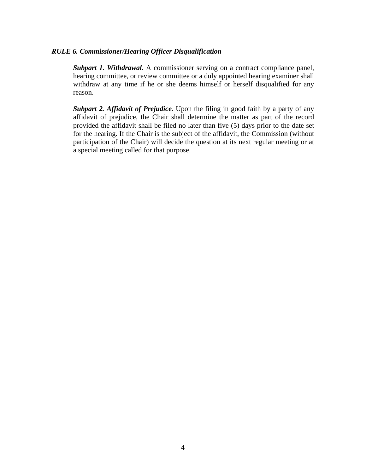#### *RULE 6. Commissioner/Hearing Officer Disqualification*

*Subpart 1. Withdrawal.* A commissioner serving on a contract compliance panel, hearing committee, or review committee or a duly appointed hearing examiner shall withdraw at any time if he or she deems himself or herself disqualified for any reason.

*Subpart 2. Affidavit of Prejudice.* Upon the filing in good faith by a party of any affidavit of prejudice, the Chair shall determine the matter as part of the record provided the affidavit shall be filed no later than five (5) days prior to the date set for the hearing. If the Chair is the subject of the affidavit, the Commission (without participation of the Chair) will decide the question at its next regular meeting or at a special meeting called for that purpose.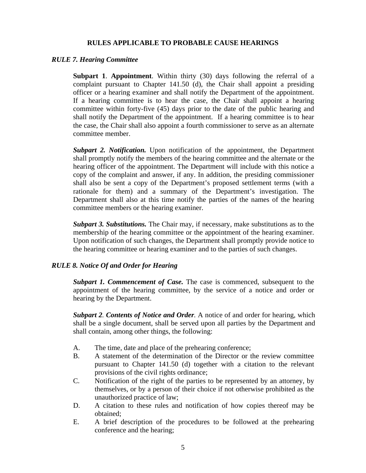#### **RULES APPLICABLE TO PROBABLE CAUSE HEARINGS**

#### *RULE 7. Hearing Committee*

**Subpart 1**. **Appointment**. Within thirty (30) days following the referral of a complaint pursuant to Chapter 141.50 (d), the Chair shall appoint a presiding officer or a hearing examiner and shall notify the Department of the appointment. If a hearing committee is to hear the case, the Chair shall appoint a hearing committee within forty-five (45) days prior to the date of the public hearing and shall notify the Department of the appointment. If a hearing committee is to hear the case, the Chair shall also appoint a fourth commissioner to serve as an alternate committee member.

*Subpart 2. Notification.* Upon notification of the appointment, the Department shall promptly notify the members of the hearing committee and the alternate or the hearing officer of the appointment. The Department will include with this notice a copy of the complaint and answer, if any. In addition, the presiding commissioner shall also be sent a copy of the Department's proposed settlement terms (with a rationale for them) and a summary of the Department's investigation. The Department shall also at this time notify the parties of the names of the hearing committee members or the hearing examiner.

*Subpart 3. Substitutions.* The Chair may, if necessary, make substitutions as to the membership of the hearing committee or the appointment of the hearing examiner. Upon notification of such changes, the Department shall promptly provide notice to the hearing committee or hearing examiner and to the parties of such changes.

#### *RULE 8. Notice Of and Order for Hearing*

*Subpart 1. Commencement of Case.* The case is commenced, subsequent to the appointment of the hearing committee, by the service of a notice and order or hearing by the Department.

*Subpart 2. Contents of Notice and Order.* A notice of and order for hearing, which shall be a single document, shall be served upon all parties by the Department and shall contain, among other things, the following:

- A. The time, date and place of the prehearing conference;
- B. A statement of the determination of the Director or the review committee pursuant to Chapter 141.50 (d) together with a citation to the relevant provisions of the civil rights ordinance;
- C. Notification of the right of the parties to be represented by an attorney, by themselves, or by a person of their choice if not otherwise prohibited as the unauthorized practice of law;
- D. A citation to these rules and notification of how copies thereof may be obtained;
- E. A brief description of the procedures to be followed at the prehearing conference and the hearing;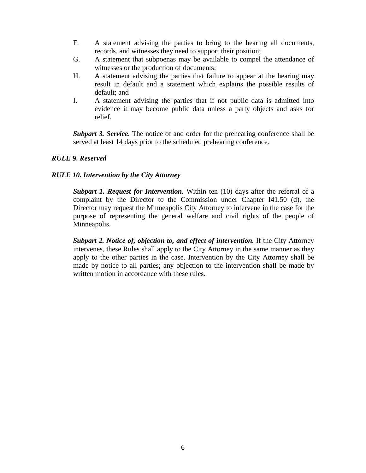- F. A statement advising the parties to bring to the hearing all documents, records, and witnesses they need to support their position;
- G. A statement that subpoenas may be available to compel the attendance of witnesses or the production of documents;
- H. A statement advising the parties that failure to appear at the hearing may result in default and a statement which explains the possible results of default; and
- I. A statement advising the parties that if not public data is admitted into evidence it may become public data unless a party objects and asks for relief.

*Subpart 3. Service.* The notice of and order for the prehearing conference shall be served at least 14 days prior to the scheduled prehearing conference.

#### *RULE* **9.** *Reserved*

#### *RULE 10. Intervention by the City Attorney*

*Subpart 1. Request for Intervention.* Within ten (10) days after the referral of a complaint by the Director to the Commission under Chapter I41.50 (d), the Director may request the Minneapolis City Attorney to intervene in the case for the purpose of representing the general welfare and civil rights of the people of Minneapolis.

*Subpart 2. Notice of, objection to, and effect of intervention.* If the City Attorney intervenes, these Rules shall apply to the City Attorney in the same manner as they apply to the other parties in the case. Intervention by the City Attorney shall be made by notice to all parties; any objection to the intervention shall be made by written motion in accordance with these rules.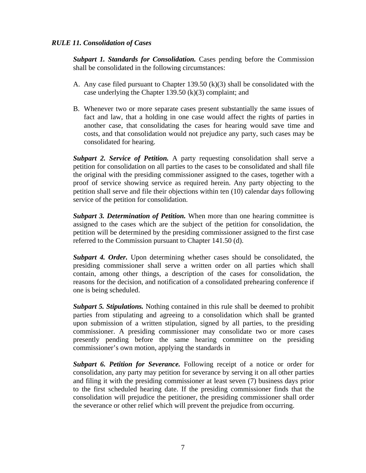#### *RULE 11. Consolidation of Cases*

*Subpart 1. Standards for Consolidation.* Cases pending before the Commission shall be consolidated in the following circumstances:

- A. Any case filed pursuant to Chapter 139.50 (k)(3) shall be consolidated with the case underlying the Chapter 139.50 (k)(3) complaint; and
- B. Whenever two or more separate cases present substantially the same issues of fact and law, that a holding in one case would affect the rights of parties in another case, that consolidating the cases for hearing would save time and costs, and that consolidation would not prejudice any party, such cases may be consolidated for hearing.

*Subpart 2. Service of Petition.* A party requesting consolidation shall serve a petition for consolidation on all parties to the cases to be consolidated and shall file the original with the presiding commissioner assigned to the cases, together with a proof of service showing service as required herein. Any party objecting to the petition shall serve and file their objections within ten (10) calendar days following service of the petition for consolidation.

*Subpart 3. Determination of Petition.* When more than one hearing committee is assigned to the cases which are the subject of the petition for consolidation, the petition will be determined by the presiding commissioner assigned to the first case referred to the Commission pursuant to Chapter 141.50 (d).

*Subpart 4. Order.* Upon determining whether cases should be consolidated, the presiding commissioner shall serve a written order on all parties which shall contain, among other things, a description of the cases for consolidation, the reasons for the decision, and notification of a consolidated prehearing conference if one is being scheduled.

*Subpart 5. Stipulations.* Nothing contained in this rule shall be deemed to prohibit parties from stipulating and agreeing to a consolidation which shall be granted upon submission of a written stipulation, signed by all parties, to the presiding commissioner. A presiding commissioner may consolidate two or more cases presently pending before the same hearing committee on the presiding commissioner's own motion, applying the standards in

*Subpart 6. Petition for Severance.* Following receipt of a notice or order for consolidation, any party may petition for severance by serving it on all other parties and filing it with the presiding commissioner at least seven (7) business days prior to the first scheduled hearing date. If the presiding commissioner finds that the consolidation will prejudice the petitioner, the presiding commissioner shall order the severance or other relief which will prevent the prejudice from occurring.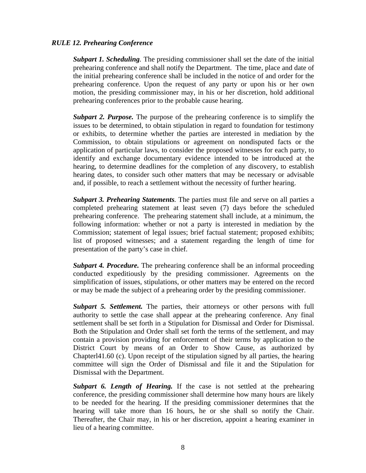#### *RULE 12. Prehearing Conference*

*Subpart 1. Scheduling.* The presiding commissioner shall set the date of the initial prehearing conference and shall notify the Department. The time, place and date of the initial prehearing conference shall be included in the notice of and order for the prehearing conference. Upon the request of any party or upon his or her own motion, the presiding commissioner may, in his or her discretion, hold additional prehearing conferences prior to the probable cause hearing.

*Subpart 2. Purpose.* The purpose of the prehearing conference is to simplify the issues to be determined, to obtain stipulation in regard to foundation for testimony or exhibits, to determine whether the parties are interested in mediation by the Commission, to obtain stipulations or agreement on nondisputed facts or the application of particular laws, to consider the proposed witnesses for each party, to identify and exchange documentary evidence intended to be introduced at the hearing, to determine deadlines for the completion of any discovery, to establish hearing dates, to consider such other matters that may be necessary or advisable and, if possible, to reach a settlement without the necessity of further hearing.

*Subpart 3. Prehearing Statements.* The parties must file and serve on all parties a completed prehearing statement at least seven (7) days before the scheduled prehearing conference. The prehearing statement shall include, at a minimum, the following information: whether or not a party is interested in mediation by the Commission; statement of legal issues; brief factual statement; proposed exhibits; list of proposed witnesses; and a statement regarding the length of time for presentation of the party's case in chief.

*Subpart 4. Procedure.* The prehearing conference shall be an informal proceeding conducted expeditiously by the presiding commissioner. Agreements on the simplification of issues, stipulations, or other matters may be entered on the record or may be made the subject of a prehearing order by the presiding commissioner.

*Subpart 5. Settlement.* The parties, their attorneys or other persons with full authority to settle the case shall appear at the prehearing conference. Any final settlement shall be set forth in a Stipulation for Dismissal and Order for Dismissal. Both the Stipulation and Order shall set forth the terms of the settlement, and may contain a provision providing for enforcement of their terms by application to the District Court by means of an Order to Show Cause, as authorized by Chapterl41.60 (c). Upon receipt of the stipulation signed by all parties, the hearing committee will sign the Order of Dismissal and file it and the Stipulation for Dismissal with the Department.

*Subpart 6. Length of Hearing.* If the case is not settled at the prehearing conference, the presiding commissioner shall determine how many hours are likely to be needed for the hearing. If the presiding commissioner determines that the hearing will take more than 16 hours, he or she shall so notify the Chair. Thereafter, the Chair may, in his or her discretion, appoint a hearing examiner in lieu of a hearing committee.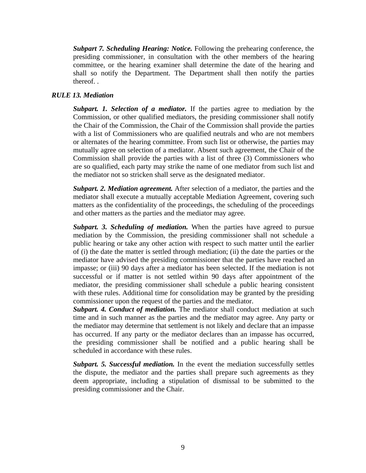*Subpart 7. Scheduling Hearing: Notice.* Following the prehearing conference, the presiding commissioner, in consultation with the other members of the hearing committee, or the hearing examiner shall determine the date of the hearing and shall so notify the Department. The Department shall then notify the parties thereof. .

#### *RULE 13. Mediation*

*Subpart. 1. Selection of a mediator.* If the parties agree to mediation by the Commission, or other qualified mediators, the presiding commissioner shall notify the Chair of the Commission, the Chair of the Commission shall provide the parties with a list of Commissioners who are qualified neutrals and who are not members or alternates of the hearing committee. From such list or otherwise, the parties may mutually agree on selection of a mediator. Absent such agreement, the Chair of the Commission shall provide the parties with a list of three (3) Commissioners who are so qualified, each party may strike the name of one mediator from such list and the mediator not so stricken shall serve as the designated mediator.

*Subpart. 2. Mediation agreement.* After selection of a mediator, the parties and the mediator shall execute a mutually acceptable Mediation Agreement, covering such matters as the confidentiality of the proceedings, the scheduling of the proceedings and other matters as the parties and the mediator may agree.

*Subpart. 3. Scheduling of mediation.* When the parties have agreed to pursue mediation by the Commission, the presiding commissioner shall not schedule a public hearing or take any other action with respect to such matter until the earlier of (i) the date the matter is settled through mediation; (ii) the date the parties or the mediator have advised the presiding commissioner that the parties have reached an impasse; or (iii) 90 days after a mediator has been selected. If the mediation is not successful or if matter is not settled within 90 days after appointment of the mediator, the presiding commissioner shall schedule a public hearing consistent with these rules. Additional time for consolidation may be granted by the presiding commissioner upon the request of the parties and the mediator.

*Subpart. 4. Conduct of mediation.* The mediator shall conduct mediation at such time and in such manner as the parties and the mediator may agree. Any party or the mediator may determine that settlement is not likely and declare that an impasse has occurred. If any party or the mediator declares than an impasse has occurred, the presiding commissioner shall be notified and a public hearing shall be scheduled in accordance with these rules.

*Subpart. 5. Successful mediation.* In the event the mediation successfully settles the dispute, the mediator and the parties shall prepare such agreements as they deem appropriate, including a stipulation of dismissal to be submitted to the presiding commissioner and the Chair.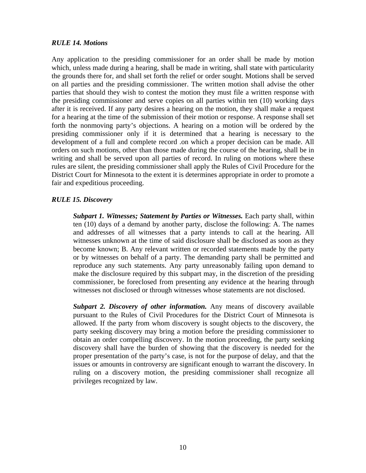#### *RULE 14. Motions*

Any application to the presiding commissioner for an order shall be made by motion which, unless made during a hearing, shall be made in writing, shall state with particularity the grounds there for, and shall set forth the relief or order sought. Motions shall be served on all parties and the presiding commissioner. The written motion shall advise the other parties that should they wish to contest the motion they must file a written response with the presiding commissioner and serve copies on all parties within ten (10) working days after it is received. If any party desires a hearing on the motion, they shall make a request for a hearing at the time of the submission of their motion or response. A response shall set forth the nonmoving party's objections. A hearing on a motion will be ordered by the presiding commissioner only if it is determined that a hearing is necessary to the development of a full and complete record .on which a proper decision can be made. All orders on such motions, other than those made during the course of the hearing, shall be in writing and shall be served upon all parties of record. In ruling on motions where these rules are silent, the presiding commissioner shall apply the Rules of Civil Procedure for the District Court for Minnesota to the extent it is determines appropriate in order to promote a fair and expeditious proceeding.

#### *RULE 15. Discovery*

*Subpart 1. Witnesses; Statement by Parties or Witnesses.* Each party shall, within ten (10) days of a demand by another party, disclose the following: A. The names and addresses of all witnesses that a party intends to call at the hearing. All witnesses unknown at the time of said disclosure shall be disclosed as soon as they become known; B. Any relevant written or recorded statements made by the party or by witnesses on behalf of a party. The demanding party shall be permitted and reproduce any such statements. Any party unreasonably failing upon demand to make the disclosure required by this subpart may, in the discretion of the presiding commissioner, be foreclosed from presenting any evidence at the hearing through witnesses not disclosed or through witnesses whose statements are not disclosed.

*Subpart 2. Discovery of other information.* Any means of discovery available pursuant to the Rules of Civil Procedures for the District Court of Minnesota is allowed. If the party from whom discovery is sought objects to the discovery, the party seeking discovery may bring a motion before the presiding commissioner to obtain an order compelling discovery. In the motion proceeding, the party seeking discovery shall have the burden of showing that the discovery is needed for the proper presentation of the party's case, is not for the purpose of delay, and that the issues or amounts in controversy are significant enough to warrant the discovery. In ruling on a discovery motion, the presiding commissioner shall recognize all privileges recognized by law.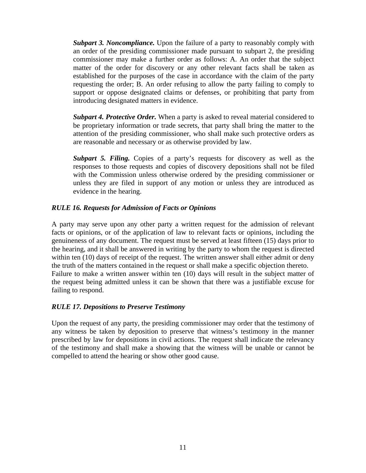*Subpart 3. Noncompliance.* Upon the failure of a party to reasonably comply with an order of the presiding commissioner made pursuant to subpart 2, the presiding commissioner may make a further order as follows: A. An order that the subject matter of the order for discovery or any other relevant facts shall be taken as established for the purposes of the case in accordance with the claim of the party requesting the order; B. An order refusing to allow the party failing to comply to support or oppose designated claims or defenses, or prohibiting that party from introducing designated matters in evidence.

*Subpart 4. Protective Order.* When a party is asked to reveal material considered to be proprietary information or trade secrets, that party shall bring the matter to the attention of the presiding commissioner, who shall make such protective orders as are reasonable and necessary or as otherwise provided by law.

*Subpart 5. Filing.* Copies of a party's requests for discovery as well as the responses to those requests and copies of discovery depositions shall not be filed with the Commission unless otherwise ordered by the presiding commissioner or unless they are filed in support of any motion or unless they are introduced as evidence in the hearing.

#### *RULE 16. Requests for Admission of Facts or Opinions*

A party may serve upon any other party a written request for the admission of relevant facts or opinions, or of the application of law to relevant facts or opinions, including the genuineness of any document. The request must be served at least fifteen (15) days prior to the hearing, and it shall be answered in writing by the party to whom the request is directed within ten (10) days of receipt of the request. The written answer shall either admit or deny the truth of the matters contained in the request or shall make a specific objection thereto. Failure to make a written answer within ten (10) days will result in the subject matter of the request being admitted unless it can be shown that there was a justifiable excuse for failing to respond.

#### *RULE 17. Depositions to Preserve Testimony*

Upon the request of any party, the presiding commissioner may order that the testimony of any witness be taken by deposition to preserve that witness's testimony in the manner prescribed by law for depositions in civil actions. The request shall indicate the relevancy of the testimony and shall make a showing that the witness will be unable or cannot be compelled to attend the hearing or show other good cause.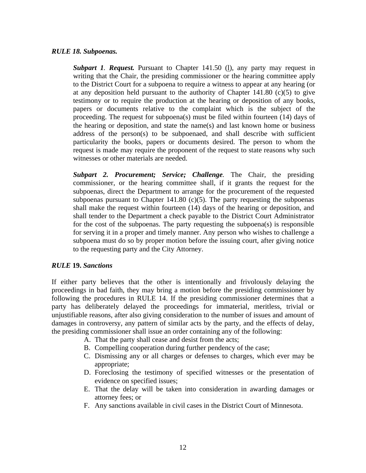#### *RULE 18. Subpoenas.*

*Subpart 1. Request.* Pursuant to Chapter 141.50 (l), any party may request in writing that the Chair, the presiding commissioner or the hearing committee apply to the District Court for a subpoena to require a witness to appear at any hearing (or at any deposition held pursuant to the authority of Chapter  $141.80$  (c)(5) to give testimony or to require the production at the hearing or deposition of any books, papers or documents relative to the complaint which is the subject of the proceeding. The request for subpoena(s) must be filed within fourteen (14) days of the hearing or deposition, and state the name(s) and last known home or business address of the person(s) to be subpoenaed, and shall describe with sufficient particularity the books, papers or documents desired. The person to whom the request is made may require the proponent of the request to state reasons why such witnesses or other materials are needed.

*Subpart 2. Procurement; Service; Challenge.* The Chair, the presiding commissioner, or the hearing committee shall, if it grants the request for the subpoenas, direct the Department to arrange for the procurement of the requested subpoenas pursuant to Chapter 141.80  $(c)(5)$ . The party requesting the subpoenas shall make the request within fourteen (14) days of the hearing or deposition, and shall tender to the Department a check payable to the District Court Administrator for the cost of the subpoenas. The party requesting the subpoena(s) is responsible for serving it in a proper and timely manner. Any person who wishes to challenge a subpoena must do so by proper motion before the issuing court, after giving notice to the requesting party and the City Attorney.

#### *RULE* **19.** *Sanctions*

If either party believes that the other is intentionally and frivolously delaying the proceedings in bad faith, they may bring a motion before the presiding commissioner by following the procedures in RULE 14. If the presiding commissioner determines that a party has deliberately delayed the proceedings for immaterial, meritless, trivial or unjustifiable reasons, after also giving consideration to the number of issues and amount of damages in controversy, any pattern of similar acts by the party, and the effects of delay, the presiding commissioner shall issue an order containing any of the following:

- A. That the party shall cease and desist from the acts;
- B. Compelling cooperation during further pendency of the case;
- C. Dismissing any or all charges or defenses to charges, which ever may be appropriate;
- D. Foreclosing the testimony of specified witnesses or the presentation of evidence on specified issues;
- E. That the delay will be taken into consideration in awarding damages or attorney fees; or
- F. Any sanctions available in civil cases in the District Court of Minnesota.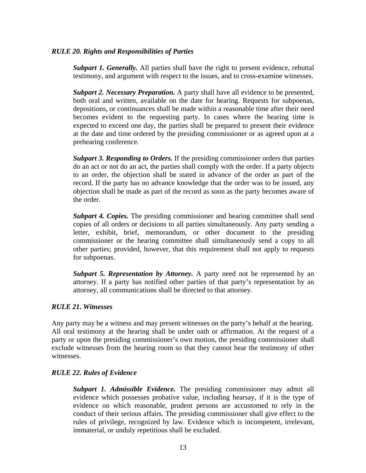#### *RULE 20. Rights and Responsibilities of Parties*

*Subpart 1. Generally.* All parties shall have the right to present evidence, rebuttal testimony, and argument with respect to the issues, and to cross-examine witnesses.

*Subpart 2. Necessary Preparation.* A party shall have all evidence to be presented, both oral and written, available on the date for hearing. Requests for subpoenas, depositions, or continuances shall be made within a reasonable time after their need becomes evident to the requesting party. In cases where the hearing time is expected to exceed one day, the parties shall be prepared to present their evidence at the date and time ordered by the presiding commissioner or as agreed upon at a prehearing conference.

*Subpart 3. Responding to Orders.* If the presiding commissioner orders that parties do an act or not do an act, the parties shall comply with the order. If a party objects to an order, the objection shall be stated in advance of the order as part of the record. If the party has no advance knowledge that the order was to be issued, any objection shall be made as part of the record as soon as the party becomes aware of the order.

*Subpart 4. Copies.* The presiding commissioner and hearing committee shall send copies of all orders or decisions to all parties simultaneously. Any party sending a letter, exhibit, brief, memorandum, or other document to the presiding commissioner or the hearing committee shall simultaneously send a copy to all other parties; provided, however, that this requirement shall not apply to requests for subpoenas.

*Subpart 5. Representation by Attorney.* A party need not be represented by an attorney. If a party has notified other parties of that party's representation by an attorney, all communications shall be directed to that attorney.

#### *RULE 21***.** *Witnesses*

Any party may be a witness and may present witnesses on the party's behalf at the hearing. All oral testimony at the hearing shall be under oath or affirmation. At the request of a party or upon the presiding commissioner's own motion, the presiding commissioner shall exclude witnesses from the hearing room so that they cannot hear the testimony of other witnesses.

#### *RULE 22. Rules of Evidence*

*Subpart 1. Admissible Evidence.* The presiding commissioner may admit all evidence which possesses probative value, including hearsay, if it is the type of evidence on which reasonable, prudent persons are accustomed to rely in the conduct of their serious affairs. The presiding commissioner shall give effect to the rules of privilege, recognized by law. Evidence which is incompetent, irrelevant, immaterial, or unduly repetitious shall be excluded.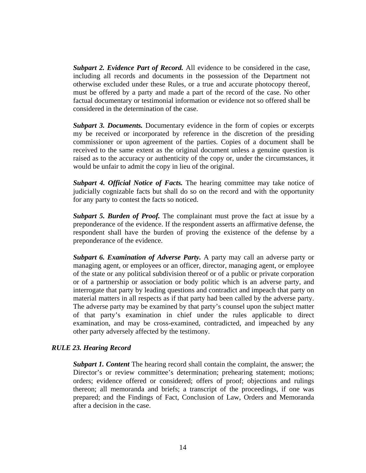*Subpart 2. Evidence Part of Record.* All evidence to be considered in the case, including all records and documents in the possession of the Department not otherwise excluded under these Rules, or a true and accurate photocopy thereof, must be offered by a party and made a part of the record of the case. No other factual documentary or testimonial information or evidence not so offered shall be considered in the determination of the case.

*Subpart 3. Documents.* Documentary evidence in the form of copies or excerpts my be received or incorporated by reference in the discretion of the presiding commissioner or upon agreement of the parties. Copies of a document shall be received to the same extent as the original document unless a genuine question is raised as to the accuracy or authenticity of the copy or, under the circumstances, it would be unfair to admit the copy in lieu of the original.

*Subpart 4. Official Notice of Facts.* The hearing committee may take notice of judicially cognizable facts but shall do so on the record and with the opportunity for any party to contest the facts so noticed.

*Subpart 5. Burden of Proof.* The complainant must prove the fact at issue by a preponderance of the evidence. If the respondent asserts an affirmative defense, the respondent shall have the burden of proving the existence of the defense by a preponderance of the evidence.

*Subpart 6. Examination of Adverse Party.* A party may call an adverse party or managing agent, or employees or an officer, director, managing agent, or employee of the state or any political subdivision thereof or of a public or private corporation or of a partnership or association or body politic which is an adverse party, and interrogate that party by leading questions and contradict and impeach that party on material matters in all respects as if that party had been called by the adverse party. The adverse party may be examined by that party's counsel upon the subject matter of that party's examination in chief under the rules applicable to direct examination, and may be cross-examined, contradicted, and impeached by any other party adversely affected by the testimony.

#### *RULE 23. Hearing Record*

*Subpart 1. Content* The hearing record shall contain the complaint, the answer; the Director's or review committee's determination; prehearing statement; motions; orders; evidence offered or considered; offers of proof; objections and rulings thereon; all memoranda and briefs; a transcript of the proceedings, if one was prepared; and the Findings of Fact, Conclusion of Law, Orders and Memoranda after a decision in the case.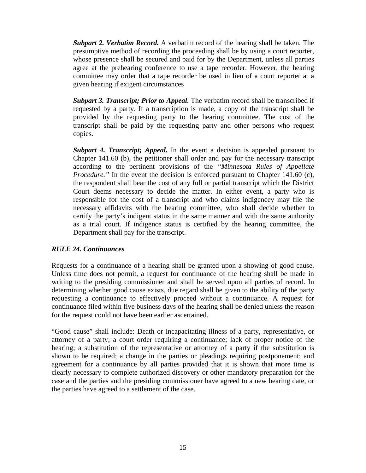*Subpart 2. Verbatim Record.* A verbatim record of the hearing shall be taken. The presumptive method of recording the proceeding shall be by using a court reporter, whose presence shall be secured and paid for by the Department, unless all parties agree at the prehearing conference to use a tape recorder. However, the hearing committee may order that a tape recorder be used in lieu of a court reporter at a given hearing if exigent circumstances

*Subpart 3. Transcript; Prior to Appeal.* The verbatim record shall be transcribed if requested by a party. If a transcription is made, a copy of the transcript shall be provided by the requesting party to the hearing committee. The cost of the transcript shall be paid by the requesting party and other persons who request copies.

*Subpart 4. Transcript; Appeal.* In the event a decision is appealed pursuant to Chapter 141.60 (b), the petitioner shall order and pay for the necessary transcript according to the pertinent provisions of the *"Minnesota Rules of Appellate Procedure.*" In the event the decision is enforced pursuant to Chapter 141.60 (c), the respondent shall bear the cost of any full or partial transcript which the District Court deems necessary to decide the matter. In either event, a party who is responsible for the cost of a transcript and who claims indigencey may file the necessary affidavits with the hearing committee, who shall decide whether to certify the party's indigent status in the same manner and with the same authority as a trial court. If indigence status is certified by the hearing committee, the Department shall pay for the transcript.

#### *RULE 24. Continuances*

Requests for a continuance of a hearing shall be granted upon a showing of good cause. Unless time does not permit, a request for continuance of the hearing shall be made in writing to the presiding commissioner and shall be served upon all parties of record. In determining whether good cause exists, due regard shall be given to the ability of the party requesting a continuance to effectively proceed without a continuance. A request for continuance filed within five business days of the hearing shall be denied unless the reason for the request could not have been earlier ascertained.

"Good cause" shall include: Death or incapacitating illness of a party, representative, or attorney of a party; a court order requiring a continuance; lack of proper notice of the hearing; a substitution of the representative or attorney of a party if the substitution is shown to be required; a change in the parties or pleadings requiring postponement; and agreement for a continuance by all parties provided that it is shown that more time is clearly necessary to complete authorized discovery or other mandatory preparation for the case and the parties and the presiding commissioner have agreed to a new hearing date, or the parties have agreed to a settlement of the case.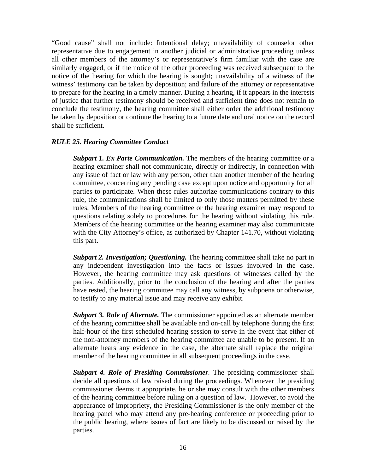"Good cause" shall not include: Intentional delay; unavailability of counselor other representative due to engagement in another judicial or administrative proceeding unless all other members of the attorney's or representative's firm familiar with the case are similarly engaged, or if the notice of the other proceeding was received subsequent to the notice of the hearing for which the hearing is sought; unavailability of a witness of the witness' testimony can be taken by deposition; and failure of the attorney or representative to prepare for the hearing in a timely manner. During a hearing, if it appears in the interests of justice that further testimony should be received and sufficient time does not remain to conclude the testimony, the hearing committee shall either order the additional testimony be taken by deposition or continue the hearing to a future date and oral notice on the record shall be sufficient.

#### *RULE 25. Hearing Committee Conduct*

*Subpart 1. Ex Parte Communication.* The members of the hearing committee or a hearing examiner shall not communicate, directly or indirectly, in connection with any issue of fact or law with any person, other than another member of the hearing committee, concerning any pending case except upon notice and opportunity for all parties to participate. When these rules authorize communications contrary to this rule, the communications shall be limited to only those matters permitted by these rules. Members of the hearing committee or the hearing examiner may respond to questions relating solely to procedures for the hearing without violating this rule. Members of the hearing committee or the hearing examiner may also communicate with the City Attorney's office, as authorized by Chapter 141.70, without violating this part.

*Subpart 2. Investigation; Questioning.* The hearing committee shall take no part in any independent investigation into the facts or issues involved in the case. However, the hearing committee may ask questions of witnesses called by the parties. Additionally, prior to the conclusion of the hearing and after the parties have rested, the hearing committee may call any witness, by subpoena or otherwise, to testify to any material issue and may receive any exhibit.

*Subpart 3. Role of Alternate.* The commissioner appointed as an alternate member of the hearing committee shall be available and on-call by telephone during the first half-hour of the first scheduled hearing session to serve in the event that either of the non-attorney members of the hearing committee are unable to be present. If an alternate hears any evidence in the case, the alternate shall replace the original member of the hearing committee in all subsequent proceedings in the case.

*Subpart 4. Role of Presiding Commissioner.* The presiding commissioner shall decide all questions of law raised during the proceedings. Whenever the presiding commissioner deems it appropriate, he or she may consult with the other members of the hearing committee before ruling on a question of law. However, to avoid the appearance of impropriety, the Presiding Commissioner is the only member of the hearing panel who may attend any pre-hearing conference or proceeding prior to the public hearing, where issues of fact are likely to be discussed or raised by the parties.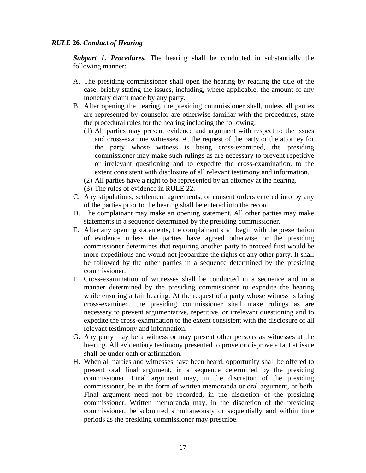#### *RULE* **26.** *Conduct of Hearing*

*Subpart 1. Procedures.* The hearing shall be conducted in substantially the following manner:

- A. The presiding commissioner shall open the hearing by reading the title of the case, briefly stating the issues, including, where applicable, the amount of any monetary claim made by any party.
- B. After opening the hearing, the presiding commissioner shall, unless all parties are represented by counselor are otherwise familiar with the procedures, state the procedural rules for the hearing including the following:
	- (1) All parties may present evidence and argument with respect to the issues and cross-examine witnesses. At the request of the party or the attorney for the party whose witness is being cross-examined, the presiding commissioner may make such rulings as are necessary to prevent repetitive or irrelevant questioning and to expedite the cross-examination, to the extent consistent with disclosure of all relevant testimony and information.
	- (2) All parties have a right to be represented by an attorney at the hearing.
	- (3) The rules of evidence in RULE 22.
- C. Any stipulations, settlement agreements, or consent orders entered into by any of the parties prior to the hearing shall be entered into the record
- D. The complainant may make an opening statement. All other parties may make statements in a sequence determined by the presiding commissioner.
- E. After any opening statements, the complainant shall begin with the presentation of evidence unless the parties have agreed otherwise or the presiding commissioner determines that requiring another party to proceed first would be more expeditious and would not jeopardize the rights of any other party. It shall be followed by the other parties in a sequence determined by the presiding commissioner.
- F. Cross-examination of witnesses shall be conducted in a sequence and in a manner determined by the presiding commissioner to expedite the hearing while ensuring a fair hearing. At the request of a party whose witness is being cross-examined, the presiding commissioner shall make rulings as are necessary to prevent argumentative, repetitive, or irrelevant questioning and to expedite the cross-examination to the extent consistent with the disclosure of all relevant testimony and information.
- G. Any party may be a witness or may present other persons as witnesses at the hearing. All evidentiary testimony presented to prove or disprove a fact at issue shall be under oath or affirmation.
- H. When all parties and witnesses have been heard, opportunity shall be offered to present oral final argument, in a sequence determined by the presiding commissioner. Final argument may, in the discretion of the presiding commissioner, be in the form of written memoranda or oral argument, or both. Final argument need not be recorded, in the discretion of the presiding commissioner. Written memoranda may, in the discretion of the presiding commissioner, be submitted simultaneously or sequentially and within time periods as the presiding commissioner may prescribe.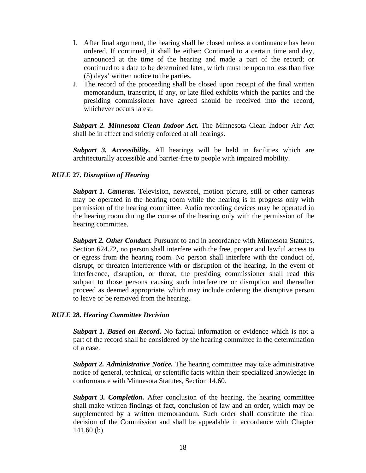- I. After final argument, the hearing shall be closed unless a continuance has been ordered. If continued, it shall be either: Continued to a certain time and day, announced at the time of the hearing and made a part of the record; or continued to a date to be determined later, which must be upon no less than five (5) days' written notice to the parties.
- J. The record of the proceeding shall be closed upon receipt of the final written memorandum, transcript, if any, or late filed exhibits which the parties and the presiding commissioner have agreed should be received into the record, whichever occurs latest.

*Subpart 2. Minnesota Clean Indoor Act.* The Minnesota Clean Indoor Air Act shall be in effect and strictly enforced at all hearings.

*Subpart 3. Accessibility.* All hearings will be held in facilities which are architecturally accessible and barrier-free to people with impaired mobility.

#### *RULE* **27.** *Disruption of Hearing*

*Subpart 1. Cameras.* Television, newsreel, motion picture, still or other cameras may be operated in the hearing room while the hearing is in progress only with permission of the hearing committee. Audio recording devices may be operated in the hearing room during the course of the hearing only with the permission of the hearing committee.

*Subpart 2. Other Conduct.* Pursuant to and in accordance with Minnesota Statutes, Section 624.72, no person shall interfere with the free, proper and lawful access to or egress from the hearing room. No person shall interfere with the conduct of, disrupt, or threaten interference with or disruption of the hearing. In the event of interference, disruption, or threat, the presiding commissioner shall read this subpart to those persons causing such interference or disruption and thereafter proceed as deemed appropriate, which may include ordering the disruptive person to leave or be removed from the hearing.

#### *RULE* **28.** *Hearing Committee Decision*

*Subpart 1. Based on Record.* No factual information or evidence which is not a part of the record shall be considered by the hearing committee in the determination of a case.

*Subpart 2. Administrative Notice.* The hearing committee may take administrative notice of general, technical, or scientific facts within their specialized knowledge in conformance with Minnesota Statutes, Section 14.60.

*Subpart 3. Completion.* After conclusion of the hearing, the hearing committee shall make written findings of fact, conclusion of law and an order, which may be supplemented by a written memorandum. Such order shall constitute the final decision of the Commission and shall be appealable in accordance with Chapter 141.60 (b).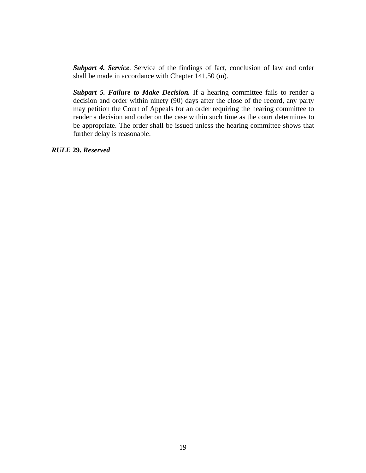*Subpart 4. Service.* Service of the findings of fact, conclusion of law and order shall be made in accordance with Chapter 141.50 (m).

*Subpart 5. Failure to Make Decision.* If a hearing committee fails to render a decision and order within ninety (90) days after the close of the record, any party may petition the Court of Appeals for an order requiring the hearing committee to render a decision and order on the case within such time as the court determines to be appropriate. The order shall be issued unless the hearing committee shows that further delay is reasonable.

*RULE* **29.** *Reserved*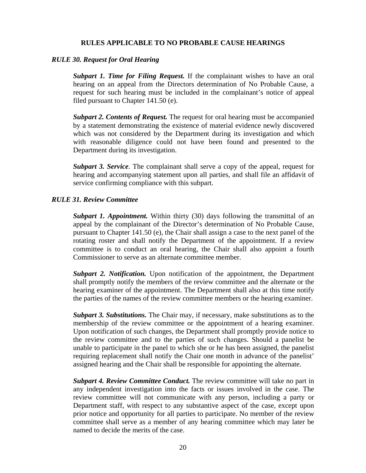#### **RULES APPLICABLE TO NO PROBABLE CAUSE HEARINGS**

#### *RULE 30. Request for Oral Hearing*

*Subpart 1. Time for Filing Request.* If the complainant wishes to have an oral hearing on an appeal from the Directors determination of No Probable Cause, a request for such hearing must be included in the complainant's notice of appeal filed pursuant to Chapter 141.50 (e).

*Subpart 2. Contents of Request.* The request for oral hearing must be accompanied by a statement demonstrating the existence of material evidence newly discovered which was not considered by the Department during its investigation and which with reasonable diligence could not have been found and presented to the Department during its investigation.

*Subpart 3. Service.* The complainant shall serve a copy of the appeal, request for hearing and accompanying statement upon all parties, and shall file an affidavit of service confirming compliance with this subpart.

#### *RULE 31. Review Committee*

*Subpart 1. Appointment.* Within thirty (30) days following the transmittal of an appeal by the complainant of the Director's determination of No Probable Cause, pursuant to Chapter 141.50 (e), the Chair shall assign a case to the next panel of the rotating roster and shall notify the Department of the appointment. If a review committee is to conduct an oral hearing, the Chair shall also appoint a fourth Commissioner to serve as an alternate committee member.

*Subpart 2. Notification.* Upon notification of the appointment, the Department shall promptly notify the members of the review committee and the alternate or the hearing examiner of the appointment. The Department shall also at this time notify the parties of the names of the review committee members or the hearing examiner.

*Subpart 3. Substitutions.* The Chair may, if necessary, make substitutions as to the membership of the review committee or the appointment of a hearing examiner. Upon notification of such changes, the Department shall promptly provide notice to the review committee and to the parties of such changes. Should a panelist be unable to participate in the panel to which she or he has been assigned, the panelist requiring replacement shall notify the Chair one month in advance of the panelist' assigned hearing and the Chair shall be responsible for appointing the alternate.

*Subpart 4. Review Committee Conduct.* The review committee will take no part in any independent investigation into the facts or issues involved in the case. The review committee will not communicate with any person, including a party or Department staff, with respect to any substantive aspect of the case, except upon prior notice and opportunity for all parties to participate. No member of the review committee shall serve as a member of any hearing committee which may later be named to decide the merits of the case.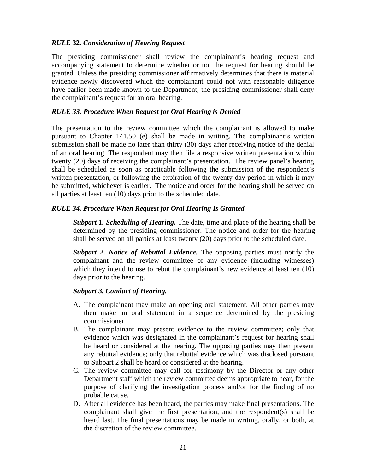#### *RULE* **32.** *Consideration of Hearing Request*

The presiding commissioner shall review the complainant's hearing request and accompanying statement to determine whether or not the request for hearing should be granted. Unless the presiding commissioner affirmatively determines that there is material evidence newly discovered which the complainant could not with reasonable diligence have earlier been made known to the Department, the presiding commissioner shall deny the complainant's request for an oral hearing.

#### *RULE 33. Procedure When Request for Oral Hearing is Denied*

The presentation to the review committee which the complainant is allowed to make pursuant to Chapter 141.50 (e) shall be made in writing. The complainant's written submission shall be made no later than thirty (30) days after receiving notice of the denial of an oral hearing. The respondent may then file a responsive written presentation within twenty (20) days of receiving the complainant's presentation. The review panel's hearing shall be scheduled as soon as practicable following the submission of the respondent's written presentation, or following the expiration of the twenty-day period in which it may be submitted, whichever is earlier. The notice and order for the hearing shall be served on all parties at least ten (10) days prior to the scheduled date.

#### *RULE 34. Procedure When Request for Oral Hearing Is Granted*

*Subpart 1. Scheduling of Hearing.* The date, time and place of the hearing shall be determined by the presiding commissioner. The notice and order for the hearing shall be served on all parties at least twenty (20) days prior to the scheduled date.

*Subpart 2. Notice of Rebuttal Evidence.* The opposing parties must notify the complainant and the review committee of any evidence (including witnesses) which they intend to use to rebut the complainant's new evidence at least ten  $(10)$ days prior to the hearing.

#### *Subpart 3. Conduct of Hearing.*

- A. The complainant may make an opening oral statement. All other parties may then make an oral statement in a sequence determined by the presiding commissioner.
- B. The complainant may present evidence to the review committee; only that evidence which was designated in the complainant's request for hearing shall be heard or considered at the hearing. The opposing parties may then present any rebuttal evidence; only that rebuttal evidence which was disclosed pursuant to Subpart 2 shall be heard or considered at the hearing.
- C. The review committee may call for testimony by the Director or any other Department staff which the review committee deems appropriate to hear, for the purpose of clarifying the investigation process and/or for the finding of no probable cause.
- D. After all evidence has been heard, the parties may make final presentations. The complainant shall give the first presentation, and the respondent(s) shall be heard last. The final presentations may be made in writing, orally, or both, at the discretion of the review committee.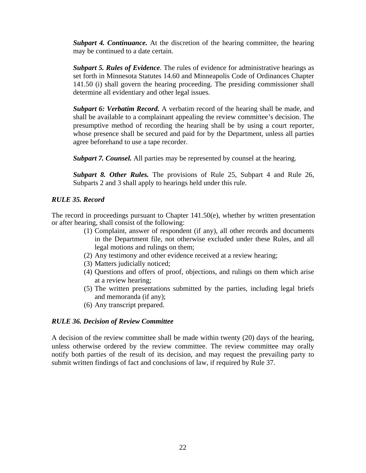*Subpart 4. Continuance.* At the discretion of the hearing committee, the hearing may be continued to a date certain.

*Subpart 5. Rules of Evidence.* The rules of evidence for administrative hearings as set forth in Minnesota Statutes 14.60 and Minneapolis Code of Ordinances Chapter 141.50 (i) shall govern the hearing proceeding. The presiding commissioner shall determine all evidentiary and other legal issues.

*Subpart 6: Verbatim Record.* A verbatim record of the hearing shall be made, and shall be available to a complainant appealing the review committee's decision. The presumptive method of recording the hearing shall be by using a court reporter, whose presence shall be secured and paid for by the Department, unless all parties agree beforehand to use a tape recorder.

*Subpart 7. Counsel.* All parties may be represented by counsel at the hearing.

*Subpart 8. Other Rules.* The provisions of Rule 25, Subpart 4 and Rule 26, Subparts 2 and 3 shall apply to hearings held under this rule.

#### *RULE 35. Record*

The record in proceedings pursuant to Chapter 141.50(e), whether by written presentation or after hearing, shall consist of the following:

- (1) Complaint, answer of respondent (if any), all other records and documents in the Department file, not otherwise excluded under these Rules, and all legal motions and rulings on them;
- (2) Any testimony and other evidence received at a review hearing;
- (3) Matters judicially noticed;
- (4) Questions and offers of proof, objections, and rulings on them which arise at a review hearing;
- (5) The written presentations submitted by the parties, including legal briefs and memoranda (if any);
- (6) Any transcript prepared.

#### *RULE 36. Decision of Review Committee*

A decision of the review committee shall be made within twenty (20) days of the hearing, unless otherwise ordered by the review committee. The review committee may orally notify both parties of the result of its decision, and may request the prevailing party to submit written findings of fact and conclusions of law, if required by Rule 37.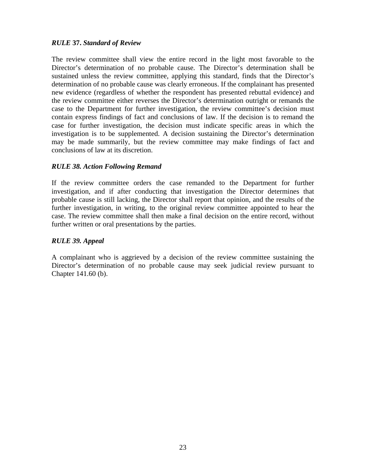#### *RULE* **37.** *Standard of Review*

The review committee shall view the entire record in the light most favorable to the Director's determination of no probable cause. The Director's determination shall be sustained unless the review committee, applying this standard, finds that the Director's determination of no probable cause was clearly erroneous. If the complainant has presented new evidence (regardless of whether the respondent has presented rebuttal evidence) and the review committee either reverses the Director's determination outright or remands the case to the Department for further investigation, the review committee's decision must contain express findings of fact and conclusions of law. If the decision is to remand the case for further investigation, the decision must indicate specific areas in which the investigation is to be supplemented. A decision sustaining the Director's determination may be made summarily, but the review committee may make findings of fact and conclusions of law at its discretion.

#### *RULE 38. Action Following Remand*

If the review committee orders the case remanded to the Department for further investigation, and if after conducting that investigation the Director determines that probable cause is still lacking, the Director shall report that opinion, and the results of the further investigation, in writing, to the original review committee appointed to hear the case. The review committee shall then make a final decision on the entire record, without further written or oral presentations by the parties.

#### *RULE 39. Appeal*

A complainant who is aggrieved by a decision of the review committee sustaining the Director's determination of no probable cause may seek judicial review pursuant to Chapter 141.60 (b).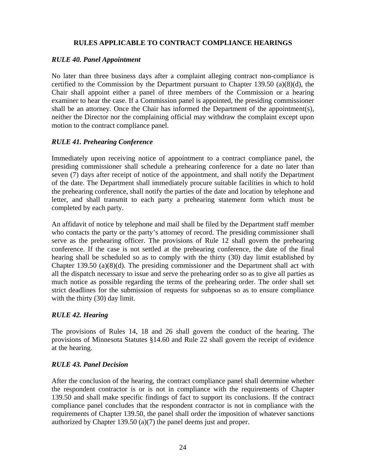#### **RULES APPLICABLE TO CONTRACT COMPLIANCE HEARINGS**

#### *RULE 40. Panel Appointment*

No later than three business days after a complaint alleging contract non-compliance is certified to the Commission by the Department pursuant to Chapter 139.50 (a)(8)(d), the Chair shall appoint either a panel of three members of the Commission or a hearing examiner to hear the case. If a Commission panel is appointed, the presiding commissioner shall be an attorney. Once the Chair has informed the Department of the appointment(s), neither the Director nor the complaining official may withdraw the complaint except upon motion to the contract compliance panel.

#### *RULE 41. Prehearing Conference*

Immediately upon receiving notice of appointment to a contract compliance panel, the presiding commissioner shall schedule a prehearing conference for a date no later than seven (7) days after receipt of notice of the appointment, and shall notify the Department of the date. The Department shall immediately procure suitable facilities in which to hold the prehearing conference, shall notify the parties of the date and location by telephone and letter, and shall transmit to each party a prehearing statement form which must be completed by each party.

An affidavit of notice by telephone and mail shall be filed by the Department staff member who contacts the party or the party's attorney of record. The presiding commissioner shall serve as the prehearing officer. The provisions of Rule 12 shall govern the prehearing conference. If the case is not settled at the prehearing conference, the date of the final hearing shall be scheduled so as to comply with the thirty (30) day limit established by Chapter 139.50 (a)(8)(d). The presiding commissioner and the Department shall act with all the dispatch necessary to issue and serve the prehearing order so as to give all parties as much notice as possible regarding the terms of the prehearing order. The order shall set strict deadlines for the submission of requests for subpoenas so as to ensure compliance with the thirty (30) day limit.

#### *RULE 42. Hearing*

The provisions of Rules 14, 18 and 26 shall govern the conduct of the hearing. The provisions of Minnesota Statutes §14.60 and Rule 22 shall govern the receipt of evidence at the hearing.

#### *RULE 43. Panel Decision*

After the conclusion of the hearing, the contract compliance panel shall determine whether the respondent contractor is or is not in compliance with the requirements of Chapter 139.50 and shall make specific findings of fact to support its conclusions. If the contract compliance panel concludes that the respondent contractor is not in compliance with the requirements of Chapter 139.50, the panel shall order the imposition of whatever sanctions authorized by Chapter 139.50 (a)(7) the panel deems just and proper.